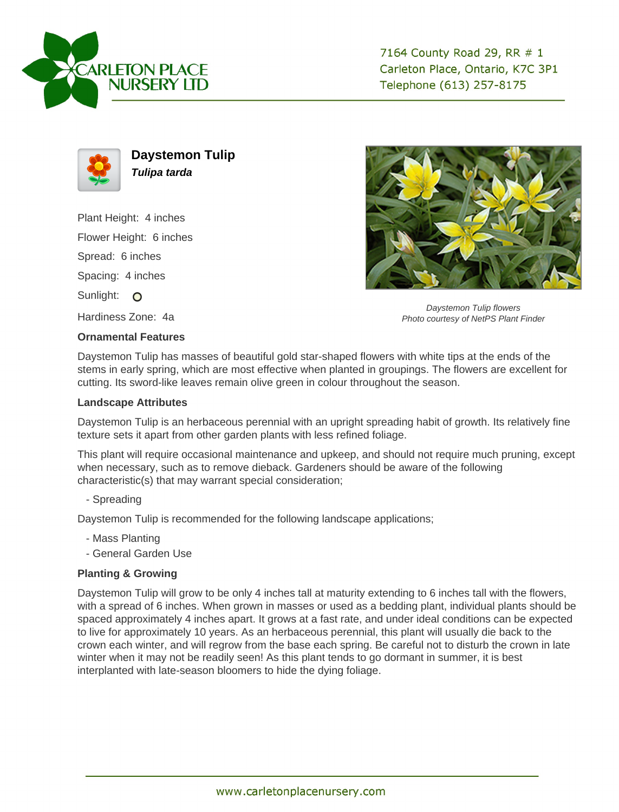



**Daystemon Tulip Tulipa tarda**

Plant Height: 4 inches

Flower Height: 6 inches

Spread: 6 inches

Spacing: 4 inches

Sunlight: O

Hardiness Zone: 4a

## **Ornamental Features**

Daystemon Tulip flowers Photo courtesy of NetPS Plant Finder

Daystemon Tulip has masses of beautiful gold star-shaped flowers with white tips at the ends of the stems in early spring, which are most effective when planted in groupings. The flowers are excellent for cutting. Its sword-like leaves remain olive green in colour throughout the season.

## **Landscape Attributes**

Daystemon Tulip is an herbaceous perennial with an upright spreading habit of growth. Its relatively fine texture sets it apart from other garden plants with less refined foliage.

This plant will require occasional maintenance and upkeep, and should not require much pruning, except when necessary, such as to remove dieback. Gardeners should be aware of the following characteristic(s) that may warrant special consideration;

- Spreading

Daystemon Tulip is recommended for the following landscape applications;

- Mass Planting
- General Garden Use

## **Planting & Growing**

Daystemon Tulip will grow to be only 4 inches tall at maturity extending to 6 inches tall with the flowers, with a spread of 6 inches. When grown in masses or used as a bedding plant, individual plants should be spaced approximately 4 inches apart. It grows at a fast rate, and under ideal conditions can be expected to live for approximately 10 years. As an herbaceous perennial, this plant will usually die back to the crown each winter, and will regrow from the base each spring. Be careful not to disturb the crown in late winter when it may not be readily seen! As this plant tends to go dormant in summer, it is best interplanted with late-season bloomers to hide the dying foliage.